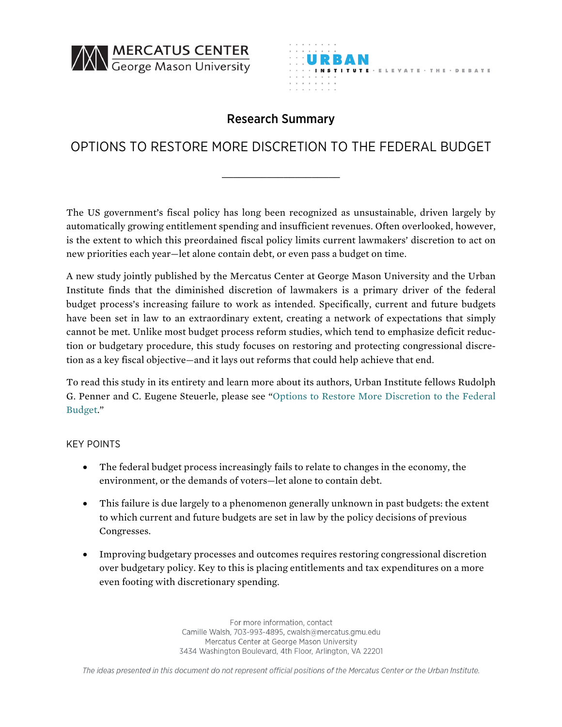



## Research Summary

## OPTIONS TO RESTORE MORE DISCRETION TO THE FEDERAL BUDGET

The US government's fiscal policy has long been recognized as unsustainable, driven largely by automatically growing entitlement spending and insufficient revenues. Often overlooked, however, is the extent to which this preordained fiscal policy limits current lawmakers' discretion to act on new priorities each year—let alone contain debt, or even pass a budget on time.

A new study jointly published by the Mercatus Center at George Mason University and the Urban Institute finds that the diminished discretion of lawmakers is a primary driver of the federal budget process's increasing failure to work as intended. Specifically, current and future budgets have been set in law to an extraordinary extent, creating a network of expectations that simply cannot be met. Unlike most budget process reform studies, which tend to emphasize deficit reduction or budgetary procedure, this study focuses on restoring and protecting congressional discretion as a key fiscal objective—and it lays out reforms that could help achieve that end.

To read this study in its entirety and learn more about its authors, Urban Institute fellows Rudolph G. Penner and C. Eugene Steuerle, please see ["Options to Restore More Discretion to the Federal](http://mercatus.org/publication/options-restore-more-discretion-federal-budget) [Budget](http://mercatus.org/publication/options-restore-more-discretion-federal-budget)."

## KEY POINTS

- The federal budget process increasingly fails to relate to changes in the economy, the environment, or the demands of voters—let alone to contain debt.
- This failure is due largely to a phenomenon generally unknown in past budgets: the extent to which current and future budgets are set in law by the policy decisions of previous Congresses.
- Improving budgetary processes and outcomes requires restoring congressional discretion over budgetary policy. Key to this is placing entitlements and tax expenditures on a more even footing with discretionary spending.

For more information, contact Camille Walsh, 703-993-4895, cwalsh@mercatus.gmu.edu Mercatus Center at George Mason University 3434 Washington Boulevard, 4th Floor, Arlington, VA 22201

The ideas presented in this document do not represent official positions of the Mercatus Center or the Urban Institute.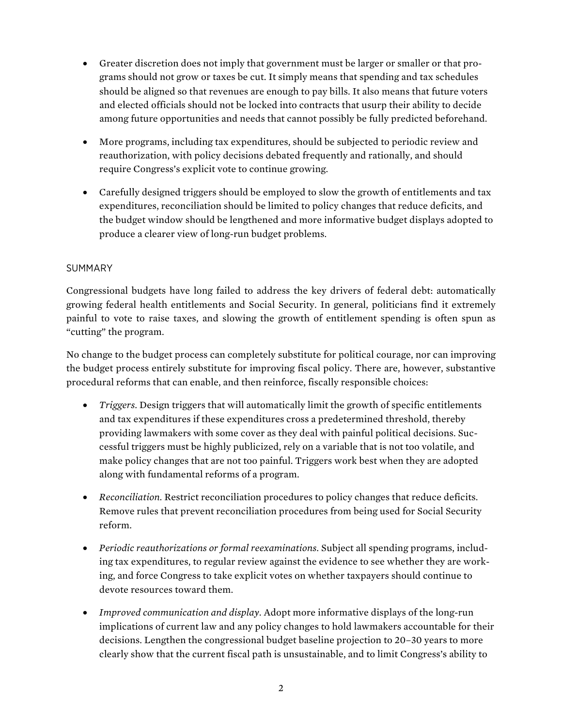- Greater discretion does not imply that government must be larger or smaller or that programs should not grow or taxes be cut. It simply means that spending and tax schedules should be aligned so that revenues are enough to pay bills. It also means that future voters and elected officials should not be locked into contracts that usurp their ability to decide among future opportunities and needs that cannot possibly be fully predicted beforehand.
- More programs, including tax expenditures, should be subjected to periodic review and reauthorization, with policy decisions debated frequently and rationally, and should require Congress's explicit vote to continue growing.
- Carefully designed triggers should be employed to slow the growth of entitlements and tax expenditures, reconciliation should be limited to policy changes that reduce deficits, and the budget window should be lengthened and more informative budget displays adopted to produce a clearer view of long-run budget problems.

## SUMMARY

Congressional budgets have long failed to address the key drivers of federal debt: automatically growing federal health entitlements and Social Security. In general, politicians find it extremely painful to vote to raise taxes, and slowing the growth of entitlement spending is often spun as "cutting" the program.

No change to the budget process can completely substitute for political courage, nor can improving the budget process entirely substitute for improving fiscal policy. There are, however, substantive procedural reforms that can enable, and then reinforce, fiscally responsible choices:

- *Triggers.* Design triggers that will automatically limit the growth of specific entitlements and tax expenditures if these expenditures cross a predetermined threshold, thereby providing lawmakers with some cover as they deal with painful political decisions. Successful triggers must be highly publicized, rely on a variable that is not too volatile, and make policy changes that are not too painful. Triggers work best when they are adopted along with fundamental reforms of a program.
- *Reconciliation.* Restrict reconciliation procedures to policy changes that reduce deficits. Remove rules that prevent reconciliation procedures from being used for Social Security reform.
- *Periodic reauthorizations or formal reexaminations.* Subject all spending programs, including tax expenditures, to regular review against the evidence to see whether they are working, and force Congress to take explicit votes on whether taxpayers should continue to devote resources toward them.
- *Improved communication and display.* Adopt more informative displays of the long-run implications of current law and any policy changes to hold lawmakers accountable for their decisions. Lengthen the congressional budget baseline projection to 20–30 years to more clearly show that the current fiscal path is unsustainable, and to limit Congress's ability to